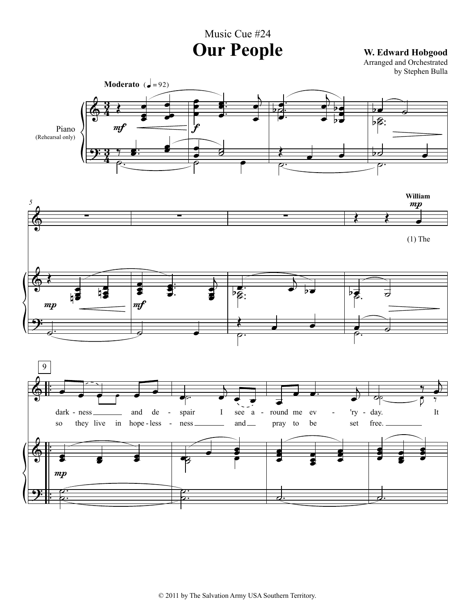Music Cue #24 **Our People W. Edward Hobgood**

Arranged and Orchestrated by Stephen Bulla

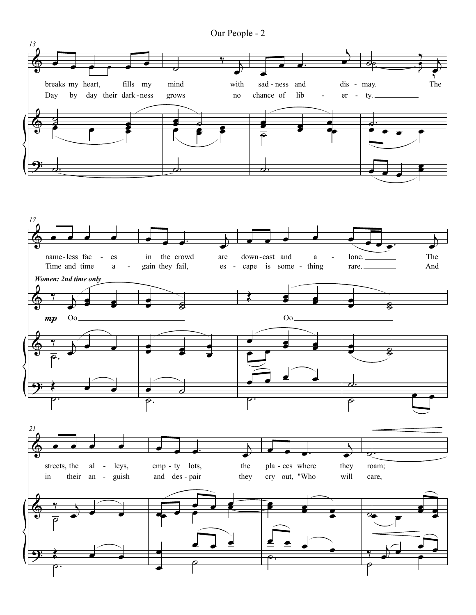

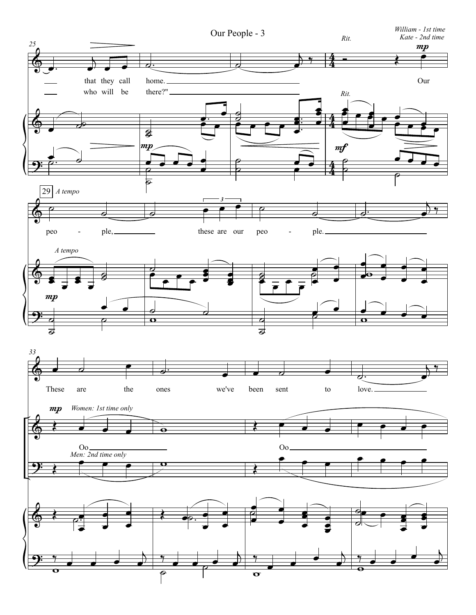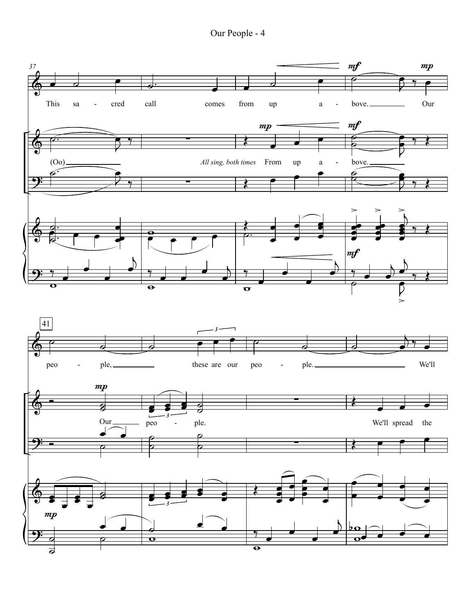Our People - 4

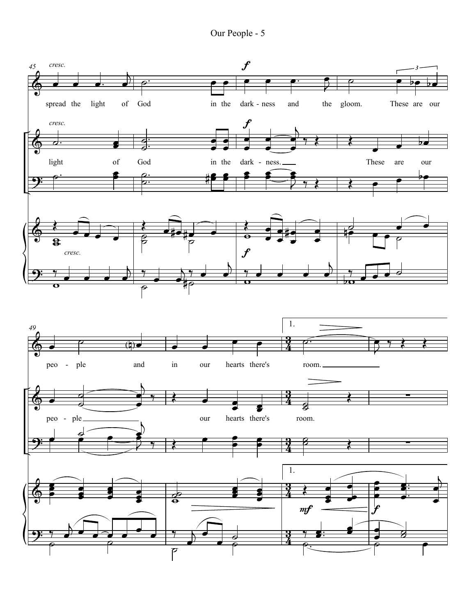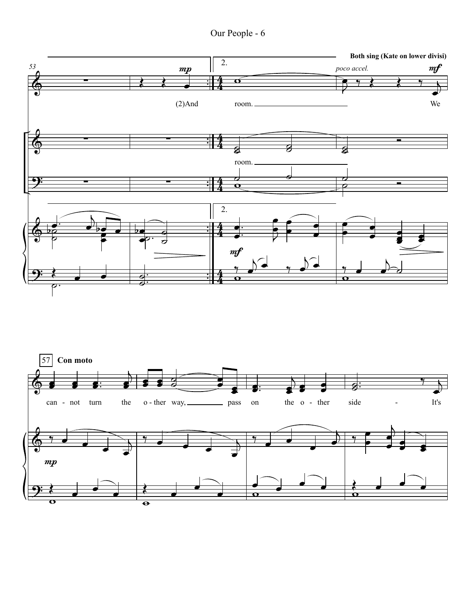Our People - 6



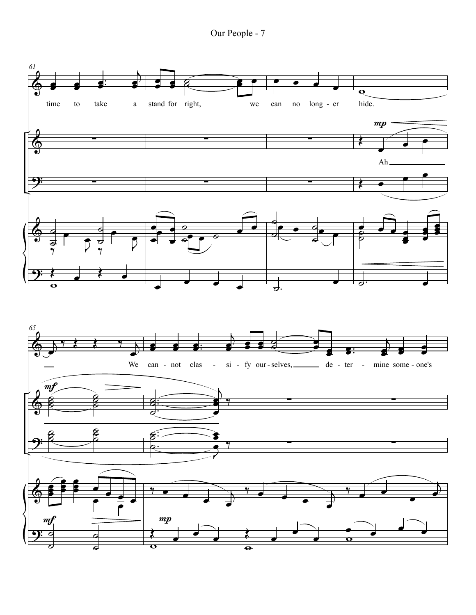Our People - 7

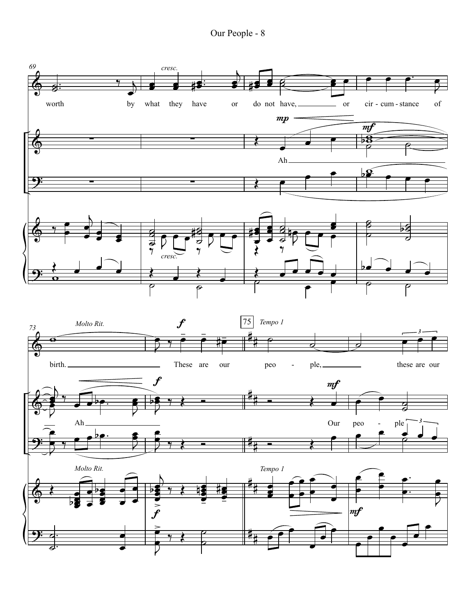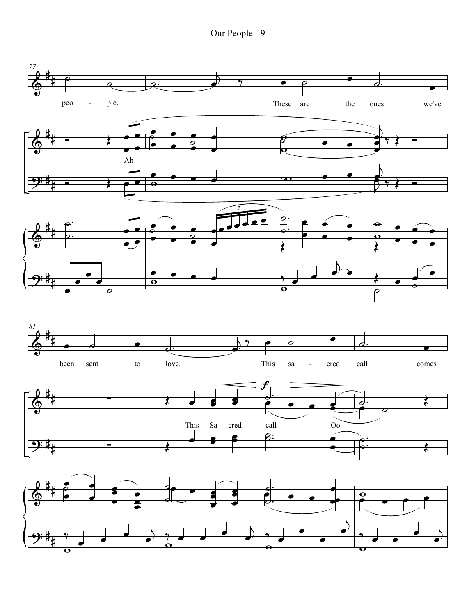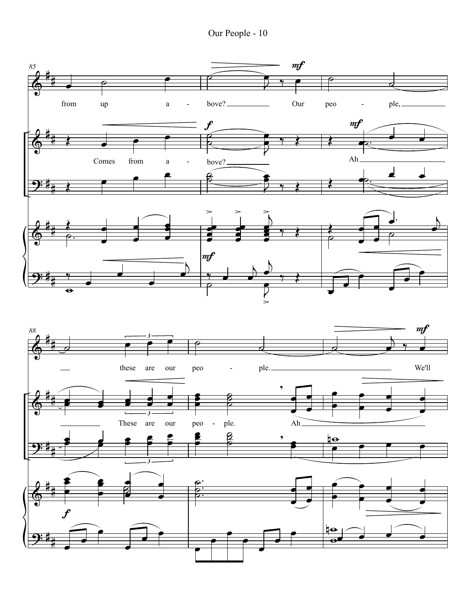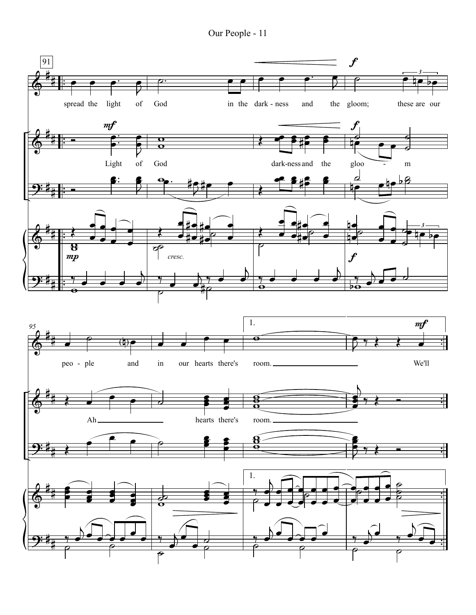Our People - 11